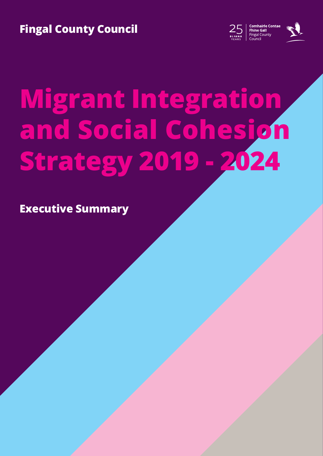**Fingal County Council**





# **Migrant Integration and Social Cohesion Strategy 2019 - 2024**

**Executive Summary**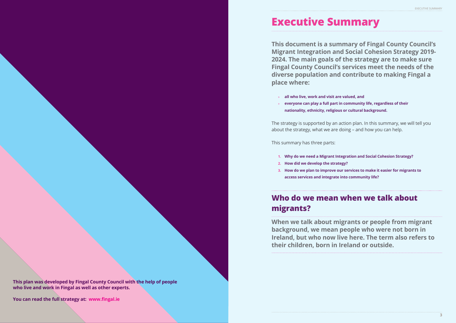

# **Executive Summary**

# **This document is a summary of Fingal County Council's Migrant Integration and Social Cohesion Strategy 2019- 2024. The main goals of the strategy are to make sure Fingal County Council's services meet the needs of the diverse population and contribute to making Fingal a**

**place where:**

» **everyone can play a full part in community life, regardless of their** 

- » **all who live, work and visit are valued, and**
- **nationality, ethnicity, religious or cultural background.**

The strategy is supported by an action plan. In this summary, we will tell you about the strategy, what we are doing – and how you can help.

This summary has three parts:

**1. Why do we need a Migrant Integration and Social Cohesion Strategy? 3. How do we plan to improve our services to make it easier for migrants to** 

- 
- **2. How did we develop the strategy?**
- **access services and integrate into community life?**

# **Who do we mean when we talk about migrants?**

**When we talk about migrants or people from migrant background, we mean people who were not born in Ireland, but who now live here. The term also refers to their children, born in Ireland or outside.**

**This plan was developed by Fingal County Council with the help of people who live and work in Fingal as well as other experts.** 

**You can read the full strategy at: www.fingal.ie**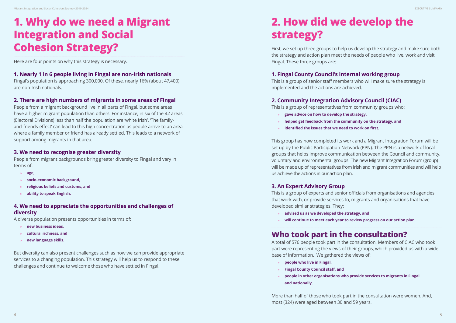# **1. Why do we need a Migrant Integration and Social Cohesion Strategy?**

Here are four points on why this strategy is necessary.

# **1. Nearly 1 in 6 people living in Fingal are non-Irish nationals**

Fingal's population is approaching 300,000. Of these, nearly 16% (about 47,400) are non-Irish nationals.

# **2. There are high numbers of migrants in some areas of Fingal**

People from a migrant background live in all parts of Fingal, but some areas have a higher migrant population than others. For instance, in six of the 42 areas (Electoral Divisions) less than half the population are 'white Irish'. 'The familyand-friends-effect' can lead to this high concentration as people arrive to an area where a family member or friend has already settled. This leads to a network of support among migrants in that area.

# **3. We need to recognise greater diversity**

People from migrant backgrounds bring greater diversity to Fingal and vary in terms of:

- » **age,**
- » **socio-economic background,**
- » **religious beliefs and customs, and**
- » **ability to speak English.**

# **4. We need to appreciate the opportunities and challenges of diversity**

A diverse population presents opportunities in terms of:

- » **new business ideas,**
- » **cultural richness, and**
- » **new language skills.**

But diversity can also present challenges such as how we can provide appropriate services to a changing population. This strategy will help us to respond to these challenges and continue to welcome those who have settled in Fingal.

# **2. How did we develop the strategy?**

First, we set up three groups to help us develop the strategy and make sure both the strategy and action plan meet the needs of people who live, work and visit Fingal. These three groups are:

# **1. Fingal County Council's internal working group**

This is a group of senior staff members who will make sure the strategy is implemented and the actions are achieved.

# **2. Community Integration Advisory Council (CIAC)**

This is a group of representatives from community groups who: » **gave advice on how to develop the strategy,** » **helped get feedback from the community on the strategy, and**  » **identified the issues that we need to work on first.** 

- 
- 
- 

This group has now completed its work and a Migrant Integration Forum will be set up by the Public Participation Network (PPN). The PPN is a network of local groups that helps improve communication between the Council and community, voluntary and environmental groups. The new Migrant Integration Forum (group) will be made up of representatives from Irish and migrant communities and will help us achieve the actions in our action plan.

# **3. An Expert Advisory Group**

This is a group of experts and senior officials from organisations and agencies that work with, or provide services to, migrants and organisations that have developed similar strategies. They:

- » **advised us as we developed the strategy, and**
- 

» **will continue to meet each year to review progress on our action plan.**

# **Who took part in the consultation?**

A total of 576 people took part in the consultation. Members of CIAC who took part were representing the views of their groups, which provided us with a wide base of information. We gathered the views of:

- » **people who live in Fingal,**
- » **Fingal County Council staff, and**
- **and nationally.**

# » **people in other organisations who provide services to migrants in Fingal**

More than half of those who took part in the consultation were women. And, most (324) were aged between 30 and 59 years.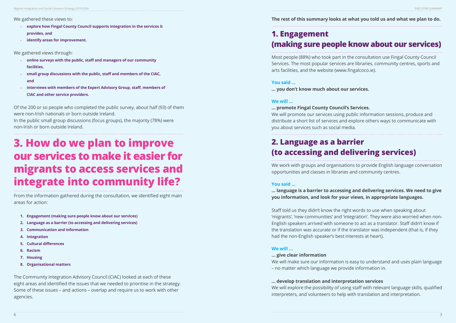We gathered these views to:

- » **explore how Fingal County Council supports integration in the services it provides, and**
- » **identify areas for improvement.**

We gathered views through:

- » **online surveys with the public, staff and managers of our community facilities,**
- » **small group discussions with the public, staff and members of the CIAC, and**
- » **interviews with members of the Expert Advisory Group, staff, members of CIAC and other service providers.**

Of the 200 or so people who completed the public survey, about half (93) of them were non-Irish nationals or born outside Ireland.

In the public small group discussions (focus groups), the majority (78%) were non-Irish or born outside Ireland.

# **3. How do we plan to improve our services to make it easier for migrants to access services and integrate into community life?**

From the information gathered during the consultation, we identified eight main areas for action:

- **1. Engagement (making sure people know about our services)**
- **2. Language as a barrier (to accessing and delivering services)**
- **3. Communication and information**
- **4. Integration**
- **5. Cultural differences**
- **6. Racism**
- **7. Housing**
- **8. Organisational matters**

The Community Integration Advisory Council (CIAC) looked at each of these eight areas and identified the issues that we needed to prioritise in the strategy. Some of these issues – and actions – overlap and require us to work with other agencies.

# **The rest of this summary looks at what you told us and what we plan to do.**

# **1. Engagement (making sure people know about our services)**

Most people (88%) who took part in the consultation use Fingal County Council Services. The most popular services are libraries, community centres, sports and arts facilities, and the website (www.fingalcoco.ie).

# **You said ...**

**… you don't know much about our services.** 

### **We will …**

# **… promote Fingal County Council's Services.**

We will promote our services using public information sessions, produce and distribute a short list of services and explore others ways to communicate with you about services such as social media.

# **2. Language as a barrier (to accessing and delivering services)**

We work with groups and organisations to provide English language conversation opportunities and classes in libraries and community centres.

# **You said ...**

# **… language is a barrier to accessing and delivering services. We need to give you information, and look for your views, in appropriate languages.**

Staff told us they didn't know the right words to use when speaking about 'migrants', 'new communities' and 'integration'. They were also worried when non-English speakers arrived with someone to act as a translator. Staff didn't know if the translation was accurate or if the translator was independent (that is, if they had the non-English speaker's best interests at heart).

# **We will …**

### **… give clear information**

We will make sure our information is easy to understand and uses plain language – no matter which language we provide information in.

**… develop translation and interpretation services** We will explore the possibility of using staff with relevant language skills, qualified interpreters, and volunteers to help with translation and interpretation.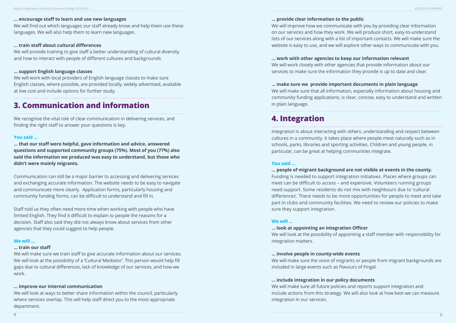### **… encourage staff to learn and use new languages**

We will find out which languages our staff already know and help them use these languages. We will also help them to learn new languages.

# **… train staff about cultural differences**

We will provide training to give staff a better understanding of cultural diversity and how to interact with people of different cultures and backgrounds.

# **… support English language classes**

We will work with local providers of English language classes to make sure English classes, where possible, are provided locally, widely advertised, available at low cost and include options for further study.

# **3. Communication and information**

We recognise the vital role of clear communication in delivering services, and finding the right staff to answer your questions is key.

### **You said ...**

**… that our staff were helpful, gave information and advice, answered questions and supported community groups (75%). Most of you (77%) also said the information we produced was easy to understand, but those who didn't were mainly migrants.**

Communication can still be a major barrier to accessing and delivering services and exchanging accurate information. The website needs to be easy to navigate and communicate more clearly. Application forms, particularly housing and community funding forms, can be difficult to understand and fill in.

Staff told us they often need more time when working with people who have limited English. They find it difficult to explain to people the reasons for a decision. Staff also said they did not always know about services from other agencies that they could suggest to help people.

### **We will …**

### **… train our staff**

We will make sure we train staff to give accurate information about our services. We will look at the possibility of a 'Cultural Mediator'. This person would help fill gaps due to cultural differences, lack of knowledge of our services, and how we work.

### **… improve our internal communication**

We will look at ways to better share information within the council, particularly where services overlap. This will help staff direct you to the most appropriate department.

# **… provide clear information to the public**

We will improve how we communicate with you by providing clear information on our services and how they work. We will produce short, easy-to-understand lists of our services along with a list of important contacts. We will make sure the website is easy to use, and we will explore other ways to communicate with you.

**… work with other agencies to keep our information relevant** We will work closely with other agencies that provide information about our services to make sure the information they provide is up to date and clear.

**… make sure we provide important documents in plain language** We will make sure that all information, especially information about housing and community funding applications, is clear, concise, easy to understand and written in plain language.

# **4. Integration**

Integration is about interacting with others, understanding and respect between cultures in a community. It takes place where people meet naturally such as in schools, parks, libraries and sporting activities. Children and young people, in particular, can be great at helping communities integrate.

### **You said ...**

**… people of migrant background are not visible at events in the county.** Funding is needed to support integration initiatives. Places where groups can meet can be difficult to access – and expensive. Volunteers running groups need support. Some residents do not mix with neighbours due to 'cultural differences'. There needs to be more opportunities for people to meet and take part in clubs and community facilities. We need to review our policies to make sure they support integration.

# **We will …**

**… look at appointing an Integration Officer** We will look at the possibility of appointing a staff member with responsibility for integration matters.

**… involve people in county-wide events** We will make sure the voice of migrants or people from migrant backgrounds are included in large events such as Flavours of Fingal.

**… include integration in our policy documents** We will make sure all future policies and reports support integration and include actions from this strategy. We will also look at how best we can measure integration in our services.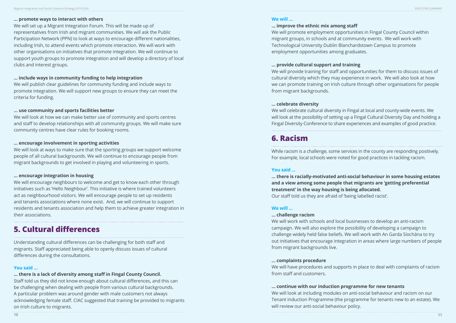### **… promote ways to interact with others**

We will set up a Migrant Integration Forum. This will be made up of representatives from Irish and migrant communities. We will ask the Public Participation Network (PPN) to look at ways to encourage different nationalities, including Irish, to attend events which promote interaction. We will work with other organisations on initiatives that promote integration. We will continue to support youth groups to promote integration and will develop a directory of local clubs and interest groups.

# **… include ways in community funding to help integration**

We will publish clear guidelines for community funding and include ways to promote integration. We will support new groups to ensure they can meet the criteria for funding.

# **… use community and sports facilities better**

We will look at how we can make better use of community and sports centres and staff to develop relationships with all community groups. We will make sure community centres have clear rules for booking rooms.

### **… encourage involvement in sporting activities**

We will look at ways to make sure that the sporting groups we support welcome people of all cultural backgrounds. We will continue to encourage people from migrant backgrounds to get involved in playing and volunteering in sports.

### **… encourage integration in housing**

We will encourage neighbours to welcome and get to know each other through initiatives such as 'Hello Neighbour'. This initiative is where trained volunteers act as neighbourhood visitors. We will encourage people to set up residents and tenants associations where none exist. And, we will continue to support residents and tenants association and help them to achieve greater integration in their associations.

# **5. Cultural differences**

Understanding cultural differences can be challenging for both staff and migrants. Staff appreciated being able to openly discuss issues of cultural differences during the consultations.

# **You said ...**

# **… there is a lack of diversity among staff in Fingal County Council.**

Staff told us they did not know enough about cultural differences, and this can be challenging when dealing with people from various cultural backgrounds. A particular problem was around gender with male customers not always acknowledging female staff. CIAC suggested that training be provided to migrants on Irish culture to migrants.

# **We will …**

**… improve the ethnic mix among staff** We will promote employment opportunities in Fingal County Council within migrant groups, in schools and at community events. We will work with Technological University Dublin Blanchardstown Campus to promote employment opportunities among graduates.

# **… provide cultural support and training**

We will provide training for staff and opportunities for them to discuss issues of cultural diversity which they may experience in work. We will also look at how we can promote training on Irish culture through other organisations for people from migrant backgrounds.

# **… celebrate diversity**

We will celebrate cultural diversity in Fingal at local and county-wide events. We will look at the possibility of setting up a Fingal Cultural Diversity Day and holding a Fingal Diversity Conference to share experiences and examples of good practice.

# **6. Racism**

While racism is a challenge, some services in the county are responding positively. For example, local schools were noted for good practices in tackling racism.

# **You said ...**

**… there is racially-motivated anti-social behaviour in some housing estates and a view among some people that migrants are 'getting preferential treatment' in the way housing is being allocated.**  Our staff told us they are afraid of 'being labelled racist'.

# **We will …**

### **… challenge racism**

We will work with schools and local businesses to develop an anti-racism campaign. We will also explore the possibility of developing a campaign to challenge widely held false beliefs. We will work with An Garda Síochána to try out initiatives that encourage integration in areas where large numbers of people from migrant backgrounds live.

# **… complaints procedure**

We will have procedures and supports in place to deal with complaints of racism from staff and customers.

# **… continue with our induction programme for new tenants**

We will look at including modules on anti-social behaviour and racism on our Tenant Induction Programme (the programme for tenants new to an estate). We will review our anti-social behaviour policy.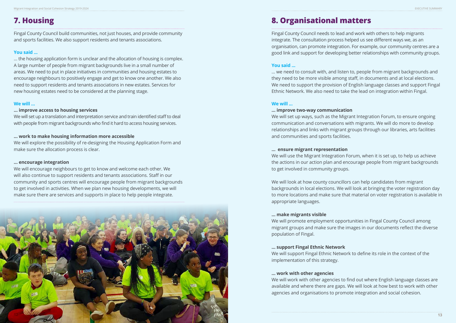

Migrant Integration and Social Cohesion Strategy 2019-2024 EXECUTIVE SUMMARY

# **7. Housing**

Fingal County Council build communities, not just houses, and provide community and sports facilities. We also support residents and tenants associations.

# **You said ...**

… the housing application form is unclear and the allocation of housing is complex. A large number of people from migrant backgrounds live in a small number of areas. We need to put in place initiatives in communities and housing estates to encourage neighbours to positively engage and get to know one another. We also need to support residents and tenants associations in new estates. Services for new housing estates need to be considered at the planning stage.

# **We will …**

# **… improve access to housing services**

We will set up a translation and interpretation service and train identified staff to deal with people from migrant backgrounds who find it hard to access housing services.

# **… work to make housing information more accessible**

We will explore the possibility of re-designing the Housing Application Form and make sure the allocation process is clear.

### **… encourage integration**

We will encourage neighbours to get to know and welcome each other. We will also continue to support residents and tenants associations. Staff in our community and sports centres will encourage people from migrant backgrounds to get involved in activities. When we plan new housing developments, we will make sure there are services and supports in place to help people integrate.

# **8. Organisational matters**

Fingal County Council needs to lead and work with others to help migrants integrate. The consultation process helped us see different ways we, as an organisation, can promote integration. For example, our community centres are a good link and support for developing better relationships with community groups.

# **You said ...**

… we need to consult with, and listen to, people from migrant backgrounds and they need to be more visible among staff, in documents and at local elections. We need to support the provision of English language classes and support Fingal Ethnic Network. We also need to take the lead on integration within Fingal.

# **We will ...**

**… improve two-way communication** We will set up ways, such as the Migrant Integration Forum, to ensure ongoing communication and conversations with migrants. We will do more to develop relationships and links with migrant groups through our libraries, arts facilities and communities and sports facilities.

# **… ensure migrant representation**

We will use the Migrant Integration Forum, when it is set up, to help us achieve the actions in our action plan and encourage people from migrant backgrounds to get involved in community groups.

We will look at how county councillors can help candidates from migrant backgrounds in local elections. We will look at bringing the voter registration day to more locations and make sure that material on voter registration is available in appropriate languages.

# **… make migrants visible**

We will promote employment opportunities in Fingal County Council among migrant groups and make sure the images in our documents reflect the diverse population of Fingal.

# **… support Fingal Ethnic Network**

We will support Fingal Ethnic Network to define its role in the context of the implementation of this strategy.

# **… work with other agencies**

We will work with other agencies to find out where English language classes are available and where there are gaps. We will look at how best to work with other agencies and organisations to promote integration and social cohesion.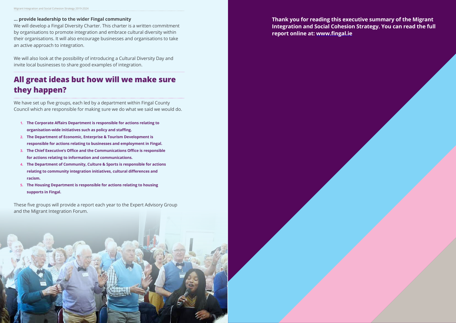**14 15**

# **… provide leadership to the wider Fingal community**

We will develop a Fingal Diversity Charter. This charter is a written commitment by organisations to promote integration and embrace cultural diversity within their organisations. It will also encourage businesses and organisations to take an active approach to integration.

We will also look at the possibility of introducing a Cultural Diversity Day and invite local businesses to share good examples of integration.

# **All great ideas but how will we make sure they happen?**

We have set up five groups, each led by a department within Fingal County Council which are responsible for making sure we do what we said we would do.

- **1. The Corporate Affairs Department is responsible for actions relating to organisation-wide initiatives such as policy and staffing.**
- **2. The Department of Economic, Enterprise & Tourism Development is responsible for actions relating to businesses and employment in Fingal.**
- **3. The Chief Executive's Office and the Communications Office is responsible for actions relating to information and communications.**
- **4. The Department of Community, Culture & Sports is responsible for actions relating to community integration initiatives, cultural differences and racism.**
- **5. The Housing Department is responsible for actions relating to housing supports in Fingal.**

These five groups will provide a report each year to the Expert Advisory Group and the Migrant Integration Forum.

**Thank you for reading this executive summary of the Migrant Integration and Social Cohesion Strategy. You can read the full report online at: [www.fingal.ie](http://www.fingal.ie)**